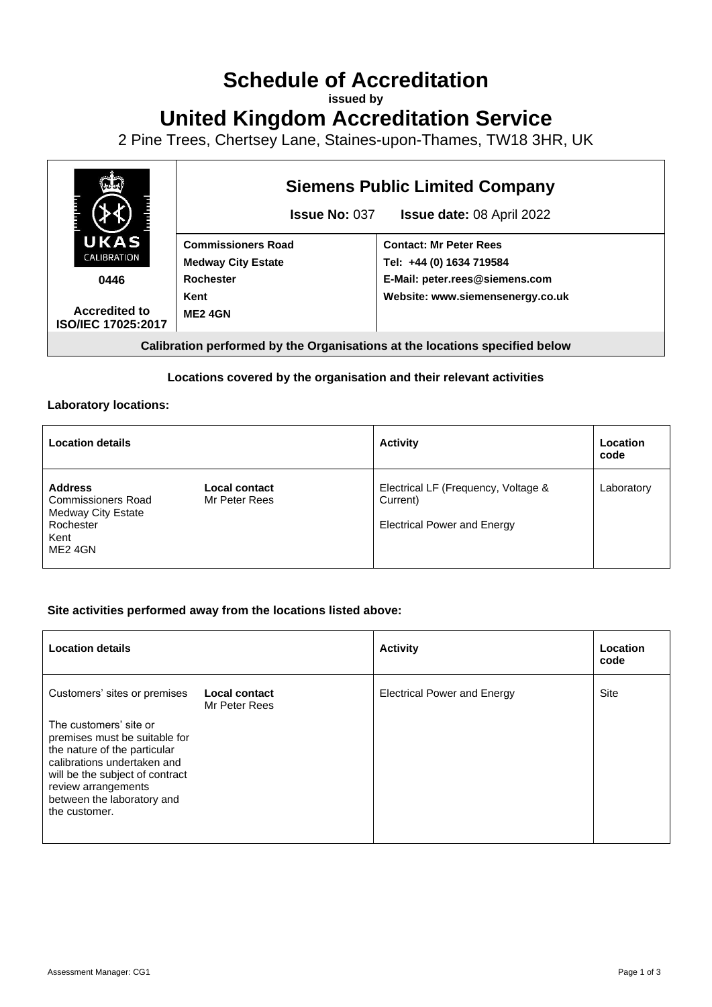# **Schedule of Accreditation**

**issued by**

**United Kingdom Accreditation Service**

2 Pine Trees, Chertsey Lane, Staines-upon-Thames, TW18 3HR, UK



## **Locations covered by the organisation and their relevant activities**

### **Laboratory locations:**

| <b>Location details</b>                                                                                 |                                       | <b>Activity</b>                                                                       | Location<br>code |
|---------------------------------------------------------------------------------------------------------|---------------------------------------|---------------------------------------------------------------------------------------|------------------|
| <b>Address</b><br><b>Commissioners Road</b><br><b>Medway City Estate</b><br>Rochester<br>Kent<br>ME24GN | <b>Local contact</b><br>Mr Peter Rees | Electrical LF (Frequency, Voltage &<br>Current)<br><b>Electrical Power and Energy</b> | Laboratory       |

### **Site activities performed away from the locations listed above:**

| <b>Location details</b>                                                                                                                                                                                                         |                                | <b>Activity</b>                    | Location<br>code |
|---------------------------------------------------------------------------------------------------------------------------------------------------------------------------------------------------------------------------------|--------------------------------|------------------------------------|------------------|
| Customers' sites or premises                                                                                                                                                                                                    | Local contact<br>Mr Peter Rees | <b>Electrical Power and Energy</b> | Site             |
| The customers' site or<br>premises must be suitable for<br>the nature of the particular<br>calibrations undertaken and<br>will be the subject of contract<br>review arrangements<br>between the laboratory and<br>the customer. |                                |                                    |                  |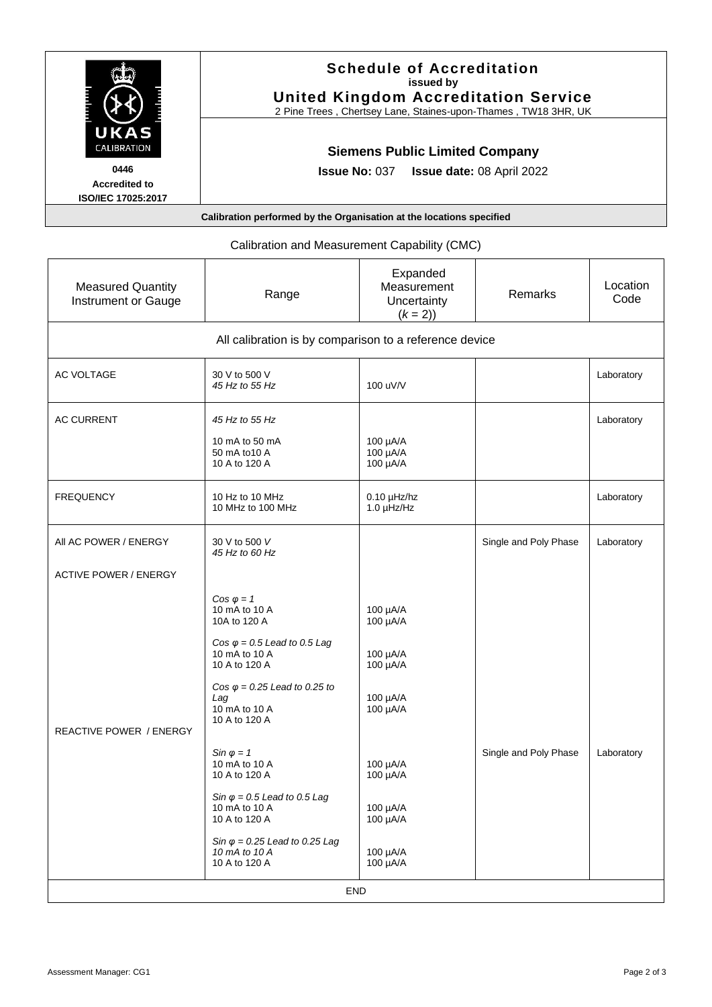| UKAS                                                      | <b>Schedule of Accreditation</b><br>issued by<br><b>United Kingdom Accreditation Service</b><br>2 Pine Trees, Chertsey Lane, Staines-upon-Thames, TW18 3HR, UK |  |  |
|-----------------------------------------------------------|----------------------------------------------------------------------------------------------------------------------------------------------------------------|--|--|
| <b>CALIBRATION</b>                                        | <b>Siemens Public Limited Company</b>                                                                                                                          |  |  |
| 0446<br><b>Accredited to</b><br><b>ISO/IEC 17025:2017</b> | <b>Issue date: 08 April 2022</b><br><b>Issue No: 037</b>                                                                                                       |  |  |
|                                                           | Calibration performed by the Organisation at the locations specified                                                                                           |  |  |

# Calibration and Measurement Capability (CMC)

| <b>Measured Quantity</b><br>Instrument or Gauge        | Range                                                                                                                                                                                                        | Expanded<br>Measurement<br>Uncertainty<br>$(k = 2)$                  | Remarks               | Location<br>Code |  |  |  |  |
|--------------------------------------------------------|--------------------------------------------------------------------------------------------------------------------------------------------------------------------------------------------------------------|----------------------------------------------------------------------|-----------------------|------------------|--|--|--|--|
| All calibration is by comparison to a reference device |                                                                                                                                                                                                              |                                                                      |                       |                  |  |  |  |  |
| AC VOLTAGE                                             | 30 V to 500 V<br>45 Hz to 55 Hz                                                                                                                                                                              | 100 uV/V                                                             |                       | Laboratory       |  |  |  |  |
| <b>AC CURRENT</b>                                      | 45 Hz to 55 Hz<br>10 mA to 50 mA<br>50 mA to 10 A<br>10 A to 120 A                                                                                                                                           | 100 µA/A<br>100 µA/A<br>100 µA/A                                     |                       | Laboratory       |  |  |  |  |
| <b>FREQUENCY</b>                                       | 10 Hz to 10 MHz<br>10 MHz to 100 MHz                                                                                                                                                                         | $0.10$ µHz/hz<br>$1.0 \mu$ Hz/Hz                                     |                       | Laboratory       |  |  |  |  |
| AII AC POWER / ENERGY                                  | 30 V to 500 V<br>45 Hz to 60 Hz                                                                                                                                                                              |                                                                      | Single and Poly Phase | Laboratory       |  |  |  |  |
| <b>ACTIVE POWER / ENERGY</b>                           |                                                                                                                                                                                                              |                                                                      |                       |                  |  |  |  |  |
| REACTIVE POWER / ENERGY                                | $Cos \varphi = 1$<br>10 mA to 10 A<br>10A to 120 A<br>Cos $\varphi$ = 0.5 Lead to 0.5 Lag<br>10 mA to 10 A<br>10 A to 120 A<br>Cos $\varphi$ = 0.25 Lead to 0.25 to<br>Lag<br>10 mA to 10 A<br>10 A to 120 A | 100 µA/A<br>100 µA/A<br>100 µA/A<br>100 µA/A<br>100 µA/A<br>100 µA/A |                       |                  |  |  |  |  |
|                                                        | $\sin \varphi = 1$<br>10 mA to 10 A<br>10 A to 120 A<br>Sin $\varphi$ = 0.5 Lead to 0.5 Lag<br>10 mA to 10 A<br>10 A to 120 A<br>Sin $\varphi$ = 0.25 Lead to 0.25 Lag<br>10 mA to 10 A<br>10 A to 120 A     | 100 µA/A<br>100 µA/A<br>100 µA/A<br>100 µA/A<br>100 µA/A<br>100 µA/A | Single and Poly Phase | Laboratory       |  |  |  |  |
| END                                                    |                                                                                                                                                                                                              |                                                                      |                       |                  |  |  |  |  |